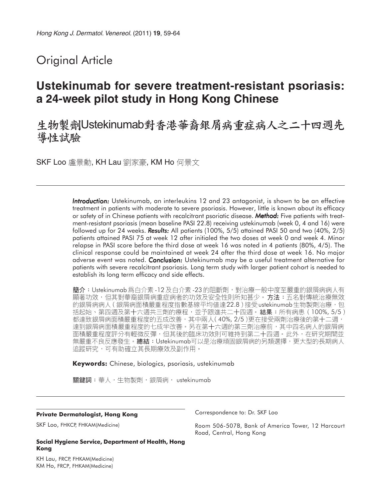# Original Article

# **Ustekinumab for severe treatment-resistant psoriasis: a 24-week pilot study in Hong Kong Chinese**

# 生物製劑Ustekinumab對香港華裔銀屑病重症病人之二十四週先 導性試驗

SKF Loo 盧景勳, KH Lau 劉家豪, KM Ho 何景文

*Introduction: Introduction:* Ustekinumab, an interleukins 12 and 23 antagonist, is shown to be an effective treatment in patients with moderate to severe psoriasis. However, little is known about its efficacy or safety of in Chinese patients with recalcitrant psoriatic disease. *Method:* Five patients with treatment-resistant psoriasis (mean baseline PASI 22.8) receiving ustekinumab (week 0, 4 and 16) were followed up for 24 weeks. *Results: esults:* All patients (100%, 5/5) attained PASI 50 and two (40%, 2/5) patients attained PASI 75 at week 12 after initialed the two doses at week 0 and week 4. Minor relapse in PASI score before the third dose at week 16 was noted in 4 patients (80%, 4/5). The clinical response could be maintained at week 24 after the third dose at week 16. No major adverse event was noted. *Conclusion: Conclusion:* Ustekinumab may be a useful treatment alternative for patients with severe recalcitrant psoriasis. Long term study with larger patient cohort is needed to establish its long term efficacy and side effects.

簡介:Ustekinumab 爲白介素 -12 及白介素 -23 的阻斷劑,對治療一般中度至嚴重的銀屑病病人有 顯著功效,但其對華裔銀屑病重症病者的功效及安全性則所知甚少。**方法:**五名對傳統治療無效 的銀屑病病人(銀屑病面積嚴重程度指數基線平均值達22.8)接受 ustekinumab生物製劑治療,包 括起始、第四週及第十六週共三劑的療程,並予跟進共二十四週。結果:所有病患(100%, 5/5) 都達致銀屑病面積嚴重程度的五成改善,其中兩人( <mark>40%, 2/5</mark> )更在接受兩劑治療後的第十二週,<br>達到銀屑病面積嚴重程度的七成半改善。另在第十六週的第三劑治療前,其中四名病人的銀屑病 面積嚴重程度評分有輕微反彈,但其後的臨床功效則可維持到第二十四週。此外,在研究期間並 無嚴重不良反應發生。總結:Ustekinumab可以是治療頑固銀屑病的另類選擇,更大型的長期病人 追蹤研究,可有助確立其長期療效及副作用。

**Keywords:** Chinese, biologics, psoriasis, ustekinumab

關鍵詞:華人,生物製劑,銀屑病, ustekinumab

#### **Private Dermatologist, Hong Kong**

SKF Loo, FHKCP, FHKAM(Medicine)

Correspondence to: Dr. SKF Loo

Room 506-507B, Bank of America Tower, 12 Harcourt Road, Central, Hong Kong

#### **Social Hygiene Service, Department of Health, Hong Kong**

KH Lau, FRCP, FHKAM(Medicine) KM Ho, FRCP, FHKAM(Medicine)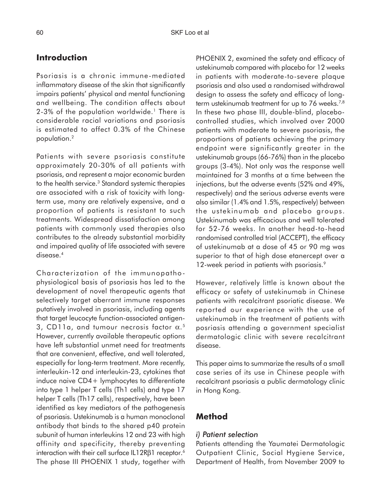## **Introduction**

Psoriasis is a chronic immune-mediated inflammatory disease of the skin that significantly impairs patients' physical and mental functioning and wellbeing. The condition affects about  $2-3%$  of the population worldwide.<sup>1</sup> There is considerable racial variations and psoriasis is estimated to affect 0.3% of the Chinese population.2

Patients with severe psoriasis constitute approximately 20-30% of all patients with psoriasis, and represent a major economic burden to the health service.<sup>3</sup> Standard systemic therapies are associated with a risk of toxicity with longterm use, many are relatively expensive, and a proportion of patients is resistant to such treatments. Widespread dissatisfaction among patients with commonly used therapies also contributes to the already substantial morbidity and impaired quality of life associated with severe disease.<sup>4</sup>

Characterization of the immunopathophysiological basis of psoriasis has led to the development of novel therapeutic agents that selectively target aberrant immune responses putatively involved in psoriasis, including agents that target leucocyte function-associated antigen-3, CD11a, and tumour necrosis factor  $\alpha$ .<sup>5</sup> However, currently available therapeutic options have left substantial unmet need for treatments that are convenient, effective, and well tolerated, especially for long-term treatment. More recently, interleukin-12 and interleukin-23, cytokines that induce naive CD4+ lymphocytes to differentiate into type 1 helper T cells (Th1 cells) and type 17 helper T cells (Th17 cells), respectively, have been identified as key mediators of the pathogenesis of psoriasis. Ustekinumab is a human monoclonal antibody that binds to the shared p40 protein subunit of human interleukins 12 and 23 with high affinity and specificity, thereby preventing interaction with their cell surface IL12Rβ1 receptor.<sup>6</sup> The phase III PHOENIX 1 study, together with

PHOENIX 2, examined the safety and efficacy of ustekinumab compared with placebo for 12 weeks in patients with moderate-to-severe plaque psoriasis and also used a randomised withdrawal design to assess the safety and efficacy of longterm ustekinumab treatment for up to 76 weeks.<sup>7,8</sup> In these two phase III, double-blind, placebocontrolled studies, which involved over 2000 patients with moderate to severe psoriasis, the proportions of patients achieving the primary endpoint were significantly greater in the ustekinumab groups (66-76%) than in the placebo groups (3-4%). Not only was the response well maintained for 3 months at a time between the injections, but the adverse events (52% and 49%, respectively) and the serious adverse events were also similar (1.4% and 1.5%, respectively) between the ustekinumab and placebo groups. Ustekinumab was efficacious and well tolerated for 52-76 weeks. In another head-to-head randomised controlled trial (ACCEPT), the efficacy of ustekinumab at a dose of 45 or 90 mg was superior to that of high dose etanercept over a 12-week period in patients with psoriasis.<sup>9</sup>

However, relatively little is known about the efficacy or safety of ustekinumab in Chinese patients with recalcitrant psoriatic disease. We reported our experience with the use of ustekinumab in the treatment of patients with posriasis attending a government specialist dermatologic clinic with severe recalcitrant disease.

This paper aims to summarize the results of a small case series of its use in Chinese people with recalcitrant psoriasis a public dermatology clinic in Hong Kong.

## **Method**

#### *i) Patient selection*

Patients attending the Yaumatei Dermatologic Outpatient Clinic, Social Hygiene Service, Department of Health, from November 2009 to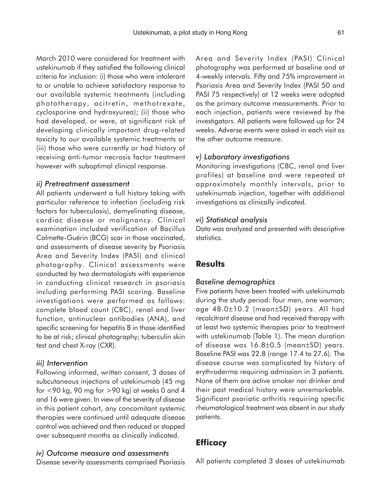March 2010 were considered for treatment with ustekinumab if they satisfied the following clinical criteria for inclusion: (i) those who were intolerant to or unable to achieve satisfactory response to our available systemic treatments (including phototherapy, acitretin, methotrexate, cyclosporine and hydroxyurea); (ii) those who had developed, or were, at significant risk of developing clinically important drug-related toxicity to our available systemic treatments or (iii) those who were currently or had history of receiving anti-tumor necrosis factor treatment however with suboptimal clinical response.

#### *ii) Pretreatment assessment*

All patients underwent a full history taking with particular reference to infection (including risk factors for tuberculosis), demyelinating disease, cardiac disease or malignancy. Clinical examination included verification of Bacillus Calmette-Guérin (BCG) scar in those vaccinated, and assessments of disease severity by Psoriasis Area and Severity Index (PASI) and clinical photography. Clinical assessments were conducted by two dermatologists with experience in conducting clinical research in psoriasis including performing PASI scoring. Baseline investigations were performed as follows: complete blood count (CBC), renal and liver function, antinuclear antibodies (ANA), and specific screening for hepatitis B in those identified to be at risk; clinical photography; tuberculin skin test and chest X-ray (CXR).

#### *iii) Intervention*

Following informed, written consent, 3 doses of subcutaneous injections of ustekinumab (45 mg for  $<$ 90 kg, 90 mg for  $>$ 90 kg) at weeks 0 and 4 and 16 were given. In view of the severity of disease in this patient cohort, any concomitant systemic therapies were continued until adequate disease control was achieved and then reduced or stopped over subsequent months as clinically indicated.

## *iv) Outcome measure and assessments*

Disease severity assessments comprised Psoriasis

Area and Severity Index (PASI) Clinical photography was performed at baseline and at 4-weekly intervals. Fifty and 75% improvement in Psoriasis Area and Severity Index (PASI 50 and PASI 75 respectively) at 12 weeks were adopted as the primary outcome measurements. Prior to each injection, patients were reviewed by the investigators. All patients were followed up for 24 weeks. Adverse events were asked in each visit as the other outcome measure.

### *v) Laboratory investigations*

Monitoring investigations (CBC, renal and liver profiles) at baseline and were repeated at approximately monthly intervals, prior to ustekinumab injection, together with additional investigations as clinically indicated.

#### *vi) Statistical analysis*

Data was analyzed and presented with descriptive statistics.

## **Results**

#### *Baseline demographics*

Five patients have been treated with ustekinumab during the study period: four men, one woman; age 48.0±10.2 (mean±SD) years. All had recalcitrant disease and had received therapy with at least two systemic therapies prior to treatment with ustekinumab (Table 1). The mean duration of disease was 16.8±0.5 (mean±SD) years. Baseline PASI was 22.8 (range 17.4 to 27.6). The disease course was complicated by history of erythroderma requiring admission in 3 patients. None of them are active smoker nor drinker and their past medical history were unremarkable. Significant psoriatic arthritis requiring specific rheumatological treatment was absent in our study patients.

### **Efficacy**

All patients completed 3 doses of ustekinumab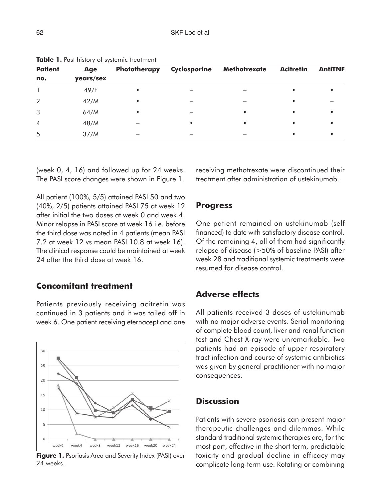| <b>Patient</b><br>no. | Age<br>years/sex | Phototherapy | <b>Cyclosporine</b> | <b>Methotrexate</b> | <b>Acitretin</b> | <b>AntiTNF</b> |
|-----------------------|------------------|--------------|---------------------|---------------------|------------------|----------------|
|                       |                  |              |                     |                     |                  |                |
| $\overline{2}$        | 42/M             |              |                     |                     |                  |                |
| 3                     | 64/M             |              |                     |                     | $\bullet$        |                |
| $\overline{4}$        | 48/M             |              |                     |                     | ٠                |                |
| 5                     | 37/M             |              |                     |                     |                  |                |

**Table 1.** Past history of systemic treatment

(week 0, 4, 16) and followed up for 24 weeks. The PASI score changes were shown in Figure 1.

All patient (100%, 5/5) attained PASI 50 and two (40%, 2/5) patients attained PASI 75 at week 12 after initial the two doses at week 0 and week 4. Minor relapse in PASI score at week 16 i.e. before the third dose was noted in 4 patients (mean PASI 7.2 at week 12 vs mean PASI 10.8 at week 16). The clinical response could be maintained at week 24 after the third dose at week 16.

# **Concomitant treatment**

Patients previously receiving acitretin was continued in 3 patients and it was tailed off in week 6. One patient receiving eternacept and one



**Figure 1.** Psoriasis Area and Severity Index (PASI) over 24 weeks.

receiving methotrexate were discontinued their treatment after administration of ustekinumab.

#### **Progress**

One patient remained on ustekinumab (self financed) to date with satisfactory disease control. Of the remaining 4, all of them had significantly relapse of disease (>50% of baseline PASI) after week 28 and traditional systemic treatments were resumed for disease control.

## **Adverse effects**

All patients received 3 doses of ustekinumab with no major adverse events. Serial monitoring of complete blood count, liver and renal function test and Chest X-ray were unremarkable. Two patients had an episode of upper respiratory tract infection and course of systemic antibiotics was given by general practitioner with no major consequences.

# **Discussion**

Patients with severe psoriasis can present major therapeutic challenges and dilemmas. While standard traditional systemic therapies are, for the most part, effective in the short term, predictable toxicity and gradual decline in efficacy may complicate long-term use. Rotating or combining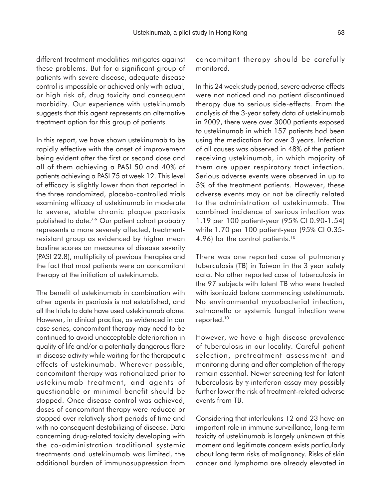different treatment modalities mitigates against these problems. But for a significant group of patients with severe disease, adequate disease control is impossible or achieved only with actual, or high risk of, drug toxicity and consequent morbidity. Our experience with ustekinumab suggests that this agent represents an alternative treatment option for this group of patients.

In this report, we have shown ustekinumab to be rapidly effective with the onset of improvement being evident after the first or second dose and all of them achieving a PASI 50 and 40% of patients achieving a PASI 75 at week 12. This level of efficacy is slightly lower than that reported in the three randomized, placebo-controlled trials examining efficacy of ustekinumab in moderate to severe, stable chronic plaque psoriasis published to date.7-9 Our patient cohort probably represents a more severely affected, treatmentresistant group as evidenced by higher mean basline scores on measures of disease severity (PASI 22.8), multiplicity of previous therapies and the fact that most patients were on concomitant therapy at the initiation of ustekinumab.

The benefit of ustekinumab in combination with other agents in psoriasis is not established, and all the trials to date have used ustekinumab alone. However, in clinical practice, as evidenced in our case series, concomitant therapy may need to be continued to avoid unacceptable deterioration in quality of life and/or a potentially dangerous flare in disease activity while waiting for the therapeutic effects of ustekinumab. Wherever possible, concomitant therapy was rationalized prior to ustekinumab treatment, and agents of questionable or minimal benefit should be stopped. Once disease control was achieved, doses of concomitant therapy were reduced or stopped over relatively short periods of time and with no consequent destabilizing of disease. Data concerning drug-related toxicity developing with the co-administration traditional systemic treatments and ustekinumab was limited, the additional burden of immunosuppression from

concomitant therapy should be carefully monitored.

In this 24 week study period, severe adverse effects were not noticed and no patient discontinued therapy due to serious side-effects. From the analysis of the 3-year safety data of ustekinumab in 2009, there were over 3000 patients exposed to ustekinumab in which 157 patients had been using the medication for over 3 years. Infection of all causes was observed in 48% of the patient receiving ustekinumab, in which majority of them are upper respiratory tract infection. Serious adverse events were observed in up to 5% of the treatment patients. However, these adverse events may or not be directly related to the administration of ustekinumab. The combined incidence of serious infection was 1.19 per 100 patient-year (95% CI 0.90-1.54) while 1.70 per 100 patient-year (95% CI 0.35- 4.96) for the control patients.<sup>10</sup>

There was one reported case of pulmonary tuberculosis (TB) in Taiwan in the 3 year safety data. No other reported case of tuberculosis in the 97 subjects with latent TB who were treated with isoniazid before commencing ustekinumab. No environmental mycobacterial infection, salmonella or systemic fungal infection were reported.10

However, we have a high disease prevalence of tuberculosis in our locality. Careful patient selection, pretreatment assessment and monitoring during and after completion of therapy remain essential. Newer screening test for latent tuberculosis by γ-interferon assay may possibly further lower the risk of treatment-related adverse events from TB.

Considering that interleukins 12 and 23 have an important role in immune surveillance, long-term toxicity of ustekinumab is largely unknown at this moment and legitimate concern exists particularly about long term risks of malignancy. Risks of skin cancer and lymphoma are already elevated in